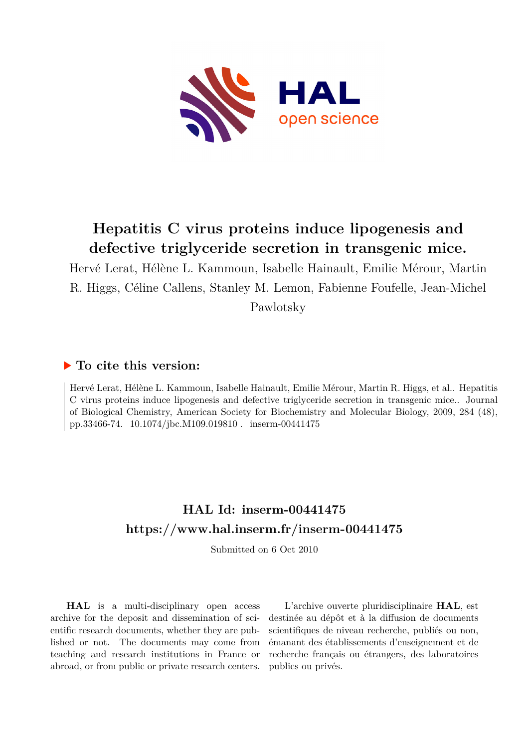

# **Hepatitis C virus proteins induce lipogenesis and defective triglyceride secretion in transgenic mice.**

Hervé Lerat, Hélène L. Kammoun, Isabelle Hainault, Emilie Mérour, Martin R. Higgs, Céline Callens, Stanley M. Lemon, Fabienne Foufelle, Jean-Michel Pawlotsky

# **To cite this version:**

Hervé Lerat, Hélène L. Kammoun, Isabelle Hainault, Emilie Mérour, Martin R. Higgs, et al.. Hepatitis C virus proteins induce lipogenesis and defective triglyceride secretion in transgenic mice.. Journal of Biological Chemistry, American Society for Biochemistry and Molecular Biology, 2009, 284 (48), pp.33466-74. 10.1074/jbc.M109.019810. inserm-00441475

# **HAL Id: inserm-00441475 <https://www.hal.inserm.fr/inserm-00441475>**

Submitted on 6 Oct 2010

**HAL** is a multi-disciplinary open access archive for the deposit and dissemination of scientific research documents, whether they are published or not. The documents may come from teaching and research institutions in France or abroad, or from public or private research centers.

L'archive ouverte pluridisciplinaire **HAL**, est destinée au dépôt et à la diffusion de documents scientifiques de niveau recherche, publiés ou non, émanant des établissements d'enseignement et de recherche français ou étrangers, des laboratoires publics ou privés.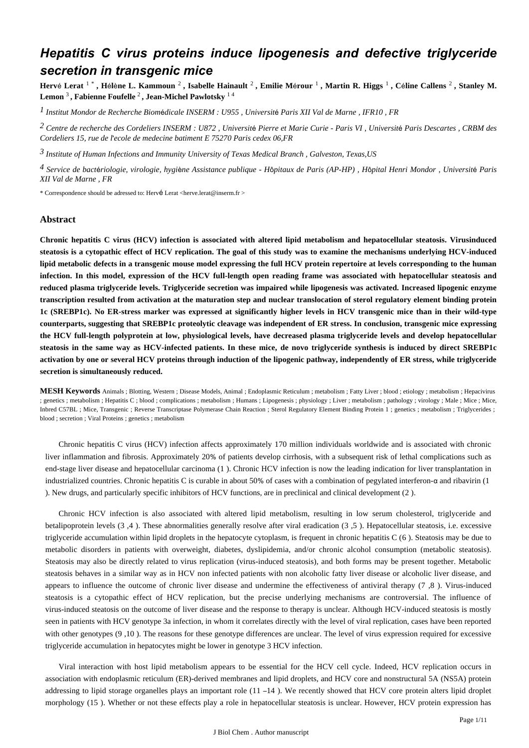# *Hepatitis C virus proteins induce lipogenesis and defective triglyceride secretion in transgenic mice*

**Herv**é **Lerat** 1 \* **, H**é**l**è**ne L. Kammoun** <sup>2</sup> **, Isabelle Hainault** <sup>2</sup> **, Emilie M**é**rour** <sup>1</sup> **, Martin R. Higgs** <sup>1</sup> **, C**é**line Callens** <sup>2</sup> **, Stanley M. Lemon** <sup>3</sup> **, Fabienne Foufelle** <sup>2</sup> **, Jean-Michel Pawlotsky** 1 4

*Institut Mondor de Recherche Biom dicale 1* <sup>é</sup> *INSERM : U955 , Universit*é *Paris XII Val de Marne , IFR10 , FR*

*Centre de recherche des Cordeliers 2 INSERM : U872 , Universit*é *Pierre et Marie Curie - Paris VI , Universit*é *Paris Descartes , CRBM des Cordeliers 15, rue de l*'*ecole de medecine batiment E 75270 Paris cedex 06,FR*

*Institute of Human Infections and Immunity 3 University of Texas Medical Branch , Galveston, Texas,US*

*Service de bact riologie, virologie, hygi ne 4* <sup>é</sup> <sup>è</sup> *Assistance publique - H*ô*pitaux de Paris (AP-HP) , H*ô*pital Henri Mondor , Universit*é *Paris XII Val de Marne , FR*

\* Correspondence should be adressed to: Hervé Lerat <herve.lerat@inserm.fr >

#### **Abstract**

**Chronic hepatitis C virus (HCV) infection is associated with altered lipid metabolism and hepatocellular steatosis. Virusinduced steatosis is a cytopathic effect of HCV replication. The goal of this study was to examine the mechanisms underlying HCV-induced lipid metabolic defects in a transgenic mouse model expressing the full HCV protein repertoire at levels corresponding to the human infection. In this model, expression of the HCV full-length open reading frame was associated with hepatocellular steatosis and reduced plasma triglyceride levels. Triglyceride secretion was impaired while lipogenesis was activated. Increased lipogenic enzyme transcription resulted from activation at the maturation step and nuclear translocation of sterol regulatory element binding protein 1c (SREBP1c). No ER-stress marker was expressed at significantly higher levels in HCV transgenic mice than in their wild-type counterparts, suggesting that SREBP1c proteolytic cleavage was independent of ER stress. In conclusion, transgenic mice expressing the HCV full-length polyprotein at low, physiological levels, have decreased plasma triglyceride levels and develop hepatocellular steatosis in the same way as HCV-infected patients. In these mice, de novo triglyceride synthesis is induced by direct SREBP1c activation by one or several HCV proteins through induction of the lipogenic pathway, independently of ER stress, while triglyceride secretion is simultaneously reduced.**

**MESH Keywords** Animals ; Blotting, Western ; Disease Models, Animal ; Endoplasmic Reticulum ; metabolism ; Fatty Liver ; blood ; etiology ; metabolism ; Hepacivirus ; genetics ; metabolism ; Hepatitis C ; blood ; complications ; metabolism ; Humans ; Lipogenesis ; physiology ; Liver ; metabolism ; pathology ; virology ; Male ; Mice ; Mice, Inbred C57BL ; Mice, Transgenic ; Reverse Transcriptase Polymerase Chain Reaction ; Sterol Regulatory Element Binding Protein 1 ; genetics ; metabolism ; Triglycerides ; blood ; secretion ; Viral Proteins ; genetics ; metabolism

Chronic hepatitis C virus (HCV) infection affects approximately 170 million individuals worldwide and is associated with chronic liver inflammation and fibrosis. Approximately 20% of patients develop cirrhosis, with a subsequent risk of lethal complications such as end-stage liver disease and hepatocellular carcinoma (1 ). Chronic HCV infection is now the leading indication for liver transplantation in industrialized countries. Chronic hepatitis C is curable in about 50% of cases with a combination of pegylated interferon-α and ribavirin (1 ). New drugs, and particularly specific inhibitors of HCV functions, are in preclinical and clinical development (2 ).

Chronic HCV infection is also associated with altered lipid metabolism, resulting in low serum cholesterol, triglyceride and betalipoprotein levels (3 ,4 ). These abnormalities generally resolve after viral eradication (3 ,5 ). Hepatocellular steatosis, i.e. excessive triglyceride accumulation within lipid droplets in the hepatocyte cytoplasm, is frequent in chronic hepatitis C (6 ). Steatosis may be due to metabolic disorders in patients with overweight, diabetes, dyslipidemia, and/or chronic alcohol consumption (metabolic steatosis). Steatosis may also be directly related to virus replication (virus-induced steatosis), and both forms may be present together. Metabolic steatosis behaves in a similar way as in HCV non infected patients with non alcoholic fatty liver disease or alcoholic liver disease, and appears to influence the outcome of chronic liver disease and undermine the effectiveness of antiviral therapy (7 ,8 ). Virus-induced steatosis is a cytopathic effect of HCV replication, but the precise underlying mechanisms are controversial. The influence of virus-induced steatosis on the outcome of liver disease and the response to therapy is unclear. Although HCV-induced steatosis is mostly seen in patients with HCV genotype 3a infection, in whom it correlates directly with the level of viral replication, cases have been reported with other genotypes (9,10). The reasons for these genotype differences are unclear. The level of virus expression required for excessive triglyceride accumulation in hepatocytes might be lower in genotype 3 HCV infection.

Viral interaction with host lipid metabolism appears to be essential for the HCV cell cycle. Indeed, HCV replication occurs in association with endoplasmic reticulum (ER)-derived membranes and lipid droplets, and HCV core and nonstructural 5A (NS5A) protein addressing to lipid storage organelles plays an important role (11 –14 ). We recently showed that HCV core protein alters lipid droplet morphology (15 ). Whether or not these effects play a role in hepatocellular steatosis is unclear. However, HCV protein expression has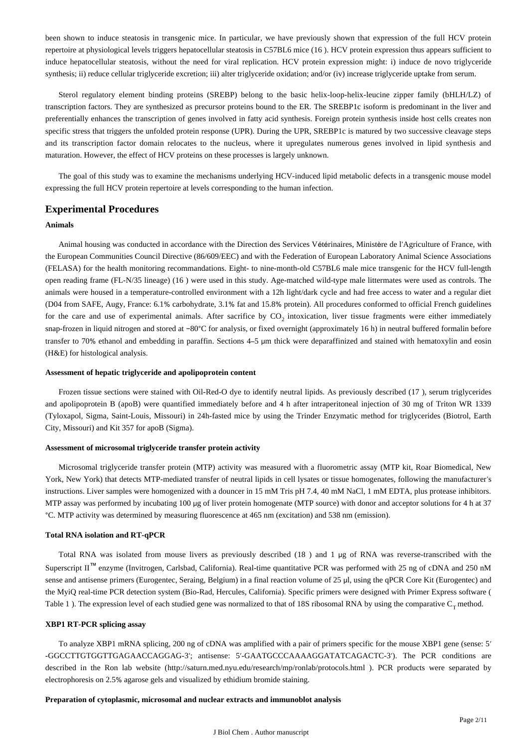been shown to induce steatosis in transgenic mice. In particular, we have previously shown that expression of the full HCV protein repertoire at physiological levels triggers hepatocellular steatosis in C57BL6 mice (16 ). HCV protein expression thus appears sufficient to induce hepatocellular steatosis, without the need for viral replication. HCV protein expression might: i) induce de novo triglyceride synthesis; ii) reduce cellular triglyceride excretion; iii) alter triglyceride oxidation; and/or (iv) increase triglyceride uptake from serum.

Sterol regulatory element binding proteins (SREBP) belong to the basic helix-loop-helix-leucine zipper family (bHLH/LZ) of transcription factors. They are synthesized as precursor proteins bound to the ER. The SREBP1c isoform is predominant in the liver and preferentially enhances the transcription of genes involved in fatty acid synthesis. Foreign protein synthesis inside host cells creates non specific stress that triggers the unfolded protein response (UPR). During the UPR, SREBP1c is matured by two successive cleavage steps and its transcription factor domain relocates to the nucleus, where it upregulates numerous genes involved in lipid synthesis and maturation. However, the effect of HCV proteins on these processes is largely unknown.

The goal of this study was to examine the mechanisms underlying HCV-induced lipid metabolic defects in a transgenic mouse model expressing the full HCV protein repertoire at levels corresponding to the human infection.

# **Experimental Procedures**

#### **Animals**

Animal housing was conducted in accordance with the Direction des Services Vétérinaires, Ministère de l'Agriculture of France, with the European Communities Council Directive (86/609/EEC) and with the Federation of European Laboratory Animal Science Associations (FELASA) for the health monitoring recommandations. Eight- to nine-month-old C57BL6 male mice transgenic for the HCV full-length open reading frame (FL-N/35 lineage) (16 ) were used in this study. Age-matched wild-type male littermates were used as controls. The animals were housed in a temperature-controlled environment with a 12h light/dark cycle and had free access to water and a regular diet (D04 from SAFE, Augy, France: 6.1% carbohydrate, 3.1% fat and 15.8% protein). All procedures conformed to official French guidelines for the care and use of experimental animals. After sacrifice by CO<sub>2</sub> intoxication, liver tissue fragments were either immediately snap-frozen in liquid nitrogen and stored at −80°C for analysis, or fixed overnight (approximately 16 h) in neutral buffered formalin before transfer to 70% ethanol and embedding in paraffin. Sections 4–5 μm thick were deparaffinized and stained with hematoxylin and eosin (H&E) for histological analysis.

#### **Assessment of hepatic triglyceride and apolipoprotein content**

Frozen tissue sections were stained with Oil-Red-O dye to identify neutral lipids. As previously described (17 ), serum triglycerides and apolipoprotein B (apoB) were quantified immediately before and 4 h after intraperitoneal injection of 30 mg of Triton WR 1339 (Tyloxapol, Sigma, Saint-Louis, Missouri) in 24h-fasted mice by using the Trinder Enzymatic method for triglycerides (Biotrol, Earth City, Missouri) and Kit 357 for apoB (Sigma).

#### **Assessment of microsomal triglyceride transfer protein activity**

Microsomal triglyceride transfer protein (MTP) activity was measured with a fluorometric assay (MTP kit, Roar Biomedical, New York, New York) that detects MTP-mediated transfer of neutral lipids in cell lysates or tissue homogenates, following the manufacturer's instructions. Liver samples were homogenized with a douncer in 15 mM Tris pH 7.4, 40 mM NaCl, 1 mM EDTA, plus protease inhibitors. MTP assay was performed by incubating 100 μg of liver protein homogenate (MTP source) with donor and acceptor solutions for 4 h at 37 °C. MTP activity was determined by measuring fluorescence at 465 nm (excitation) and 538 nm (emission).

#### **Total RNA isolation and RT-qPCR**

Total RNA was isolated from mouse livers as previously described (18 ) and 1 μg of RNA was reverse-transcribed with the Superscript II™ enzyme (Invitrogen, Carlsbad, California). Real-time quantitative PCR was performed with 25 ng of cDNA and 250 nM sense and antisense primers (Eurogentec, Seraing, Belgium) in a final reaction volume of 25 μl, using the qPCR Core Kit (Eurogentec) and the MyiQ real-time PCR detection system (Bio-Rad, Hercules, California). Specific primers were designed with Primer Express software ( Table 1 ). The expression level of each studied gene was normalized to that of 18S ribosomal RNA by using the comparative  $C_T$  method.

#### **XBP1 RT-PCR splicing assay**

To analyze XBP1 mRNA splicing, 200 ng of cDNA was amplified with a pair of primers specific for the mouse XBP1 gene (sense: 5′ -GGCCTTGTGGTTGAGAACCAGGAG-3′; antisense: 5′-GAATGCCCAAAAGGATATCAGACTC-3′). The PCR conditions are described in the Ron lab website (http://saturn.med.nyu.edu/research/mp/ronlab/protocols.html ). PCR products were separated by electrophoresis on 2.5% agarose gels and visualized by ethidium bromide staining.

#### **Preparation of cytoplasmic, microsomal and nuclear extracts and immunoblot analysis**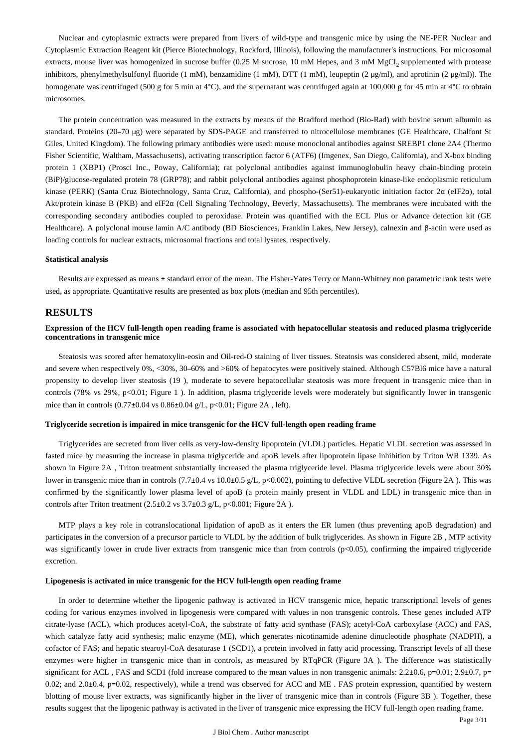Nuclear and cytoplasmic extracts were prepared from livers of wild-type and transgenic mice by using the NE-PER Nuclear and Cytoplasmic Extraction Reagent kit (Pierce Biotechnology, Rockford, Illinois), following the manufacturer's instructions. For microsomal extracts, mouse liver was homogenized in sucrose buffer (0.25 M sucrose, 10 mM Hepes, and 3 mM MgCl<sub>2</sub> supplemented with protease inhibitors, phenylmethylsulfonyl fluoride (1 mM), benzamidine (1 mM), DTT (1 mM), leupeptin (2 μg/ml), and aprotinin (2 μg/ml)). The homogenate was centrifuged (500 g for 5 min at 4°C), and the supernatant was centrifuged again at 100,000 g for 45 min at 4°C to obtain microsomes.

The protein concentration was measured in the extracts by means of the Bradford method (Bio-Rad) with bovine serum albumin as standard. Proteins (20–70 μg) were separated by SDS-PAGE and transferred to nitrocellulose membranes (GE Healthcare, Chalfont St Giles, United Kingdom). The following primary antibodies were used: mouse monoclonal antibodies against SREBP1 clone 2A4 (Thermo Fisher Scientific, Waltham, Massachusetts), activating transcription factor 6 (ATF6) (Imgenex, San Diego, California), and X-box binding protein 1 (XBP1) (Prosci Inc., Poway, California); rat polyclonal antibodies against immunoglobulin heavy chain-binding protein (BiP)/glucose-regulated protein 78 (GRP78); and rabbit polyclonal antibodies against phosphoprotein kinase-like endoplasmic reticulum kinase (PERK) (Santa Cruz Biotechnology, Santa Cruz, California), and phospho-(Ser51)-eukaryotic initiation factor 2α (eIF2α), total Akt/protein kinase B (PKB) and eIF2α (Cell Signaling Technology, Beverly, Massachusetts). The membranes were incubated with the corresponding secondary antibodies coupled to peroxidase. Protein was quantified with the ECL Plus or Advance detection kit (GE Healthcare). A polyclonal mouse lamin A/C antibody (BD Biosciences, Franklin Lakes, New Jersey), calnexin and β-actin were used as loading controls for nuclear extracts, microsomal fractions and total lysates, respectively.

#### **Statistical analysis**

Results are expressed as means ± standard error of the mean. The Fisher-Yates Terry or Mann-Whitney non parametric rank tests were used, as appropriate. Quantitative results are presented as box plots (median and 95th percentiles).

#### **RESULTS**

#### **Expression of the HCV full-length open reading frame is associated with hepatocellular steatosis and reduced plasma triglyceride concentrations in transgenic mice**

Steatosis was scored after hematoxylin-eosin and Oil-red-O staining of liver tissues. Steatosis was considered absent, mild, moderate and severe when respectively 0%, <30%, 30–60% and >60% of hepatocytes were positively stained. Although C57Bl6 mice have a natural propensity to develop liver steatosis (19 ), moderate to severe hepatocellular steatosis was more frequent in transgenic mice than in controls (78% vs 29%, p<0.01; Figure 1). In addition, plasma triglyceride levels were moderately but significantly lower in transgenic mice than in controls  $(0.77\pm0.04 \text{ vs } 0.86\pm0.04 \text{ g/L}, p<0.01$ ; Figure 2A, left).

#### **Triglyceride secretion is impaired in mice transgenic for the HCV full-length open reading frame**

Triglycerides are secreted from liver cells as very-low-density lipoprotein (VLDL) particles. Hepatic VLDL secretion was assessed in fasted mice by measuring the increase in plasma triglyceride and apoB levels after lipoprotein lipase inhibition by Triton WR 1339. As shown in Figure 2A , Triton treatment substantially increased the plasma triglyceride level. Plasma triglyceride levels were about 30% lower in transgenic mice than in controls (7.7±0.4 vs 10.0±0.5 g/L, p<0.002), pointing to defective VLDL secretion (Figure 2A). This was confirmed by the significantly lower plasma level of apoB (a protein mainly present in VLDL and LDL) in transgenic mice than in controls after Triton treatment (2.5±0.2 vs 3.7±0.3 g/L, p<0.001; Figure 2A).

MTP plays a key role in cotranslocational lipidation of apoB as it enters the ER lumen (thus preventing apoB degradation) and participates in the conversion of a precursor particle to VLDL by the addition of bulk triglycerides. As shown in Figure 2B , MTP activity was significantly lower in crude liver extracts from transgenic mice than from controls (p<0.05), confirming the impaired triglyceride excretion.

#### **Lipogenesis is activated in mice transgenic for the HCV full-length open reading frame**

In order to determine whether the lipogenic pathway is activated in HCV transgenic mice, hepatic transcriptional levels of genes coding for various enzymes involved in lipogenesis were compared with values in non transgenic controls. These genes included ATP citrate-lyase (ACL), which produces acetyl-CoA, the substrate of fatty acid synthase (FAS); acetyl-CoA carboxylase (ACC) and FAS, which catalyze fatty acid synthesis; malic enzyme (ME), which generates nicotinamide adenine dinucleotide phosphate (NADPH), a cofactor of FAS; and hepatic stearoyl-CoA desaturase 1 (SCD1), a protein involved in fatty acid processing. Transcript levels of all these enzymes were higher in transgenic mice than in controls, as measured by RTqPCR (Figure 3A ). The difference was statistically significant for ACL, FAS and SCD1 (fold increase compared to the mean values in non transgenic animals:  $2.2\pm0.6$ , p=0.01;  $2.9\pm0.7$ , p= 0.02; and 2.0±0.4, p=0.02, respectively), while a trend was observed for ACC and ME. FAS protein expression, quantified by western blotting of mouse liver extracts, was significantly higher in the liver of transgenic mice than in controls (Figure 3B ). Together, these results suggest that the lipogenic pathway is activated in the liver of transgenic mice expressing the HCV full-length open reading frame.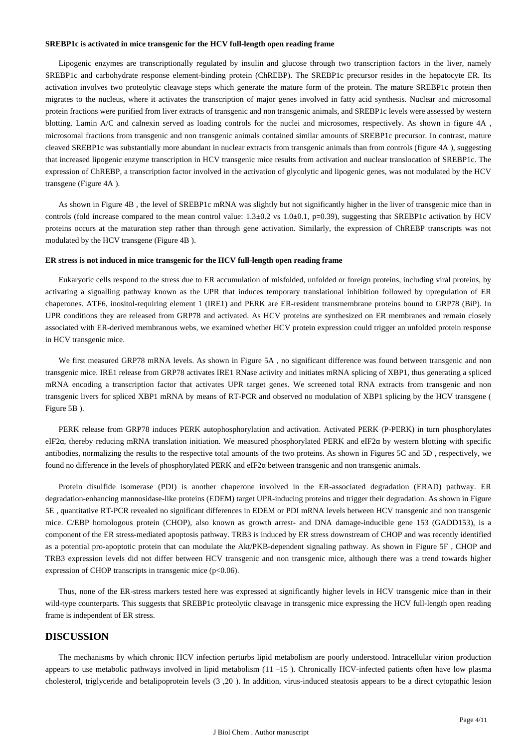#### **SREBP1c is activated in mice transgenic for the HCV full-length open reading frame**

Lipogenic enzymes are transcriptionally regulated by insulin and glucose through two transcription factors in the liver, namely SREBP1c and carbohydrate response element-binding protein (ChREBP). The SREBP1c precursor resides in the hepatocyte ER. Its activation involves two proteolytic cleavage steps which generate the mature form of the protein. The mature SREBP1c protein then migrates to the nucleus, where it activates the transcription of major genes involved in fatty acid synthesis. Nuclear and microsomal protein fractions were purified from liver extracts of transgenic and non transgenic animals, and SREBP1c levels were assessed by western blotting. Lamin A/C and calnexin served as loading controls for the nuclei and microsomes, respectively. As shown in figure 4A , microsomal fractions from transgenic and non transgenic animals contained similar amounts of SREBP1c precursor. In contrast, mature cleaved SREBP1c was substantially more abundant in nuclear extracts from transgenic animals than from controls (figure 4A ), suggesting that increased lipogenic enzyme transcription in HCV transgenic mice results from activation and nuclear translocation of SREBP1c. The expression of ChREBP, a transcription factor involved in the activation of glycolytic and lipogenic genes, was not modulated by the HCV transgene (Figure 4A ).

As shown in Figure 4B , the level of SREBP1c mRNA was slightly but not significantly higher in the liver of transgenic mice than in controls (fold increase compared to the mean control value:  $1.3\pm0.2$  vs  $1.0\pm0.1$ , p=0.39), suggesting that SREBP1c activation by HCV proteins occurs at the maturation step rather than through gene activation. Similarly, the expression of ChREBP transcripts was not modulated by the HCV transgene (Figure 4B ).

#### **ER stress is not induced in mice transgenic for the HCV full-length open reading frame**

Eukaryotic cells respond to the stress due to ER accumulation of misfolded, unfolded or foreign proteins, including viral proteins, by activating a signalling pathway known as the UPR that induces temporary translational inhibition followed by upregulation of ER chaperones. ATF6, inositol-requiring element 1 (IRE1) and PERK are ER-resident transmembrane proteins bound to GRP78 (BiP). In UPR conditions they are released from GRP78 and activated. As HCV proteins are synthesized on ER membranes and remain closely associated with ER-derived membranous webs, we examined whether HCV protein expression could trigger an unfolded protein response in HCV transgenic mice.

We first measured GRP78 mRNA levels. As shown in Figure 5A, no significant difference was found between transgenic and non transgenic mice. IRE1 release from GRP78 activates IRE1 RNase activity and initiates mRNA splicing of XBP1, thus generating a spliced mRNA encoding a transcription factor that activates UPR target genes. We screened total RNA extracts from transgenic and non transgenic livers for spliced XBP1 mRNA by means of RT-PCR and observed no modulation of XBP1 splicing by the HCV transgene ( Figure 5B ).

PERK release from GRP78 induces PERK autophosphorylation and activation. Activated PERK (P-PERK) in turn phosphorylates eIF2α, thereby reducing mRNA translation initiation. We measured phosphorylated PERK and eIF2α by western blotting with specific antibodies, normalizing the results to the respective total amounts of the two proteins. As shown in Figures 5C and 5D , respectively, we found no difference in the levels of phosphorylated PERK and eIF2α between transgenic and non transgenic animals.

Protein disulfide isomerase (PDI) is another chaperone involved in the ER-associated degradation (ERAD) pathway. ER degradation-enhancing mannosidase-like proteins (EDEM) target UPR-inducing proteins and trigger their degradation. As shown in Figure 5E , quantitative RT-PCR revealed no significant differences in EDEM or PDI mRNA levels between HCV transgenic and non transgenic mice. C/EBP homologous protein (CHOP), also known as growth arrest- and DNA damage-inducible gene 153 (GADD153), is a component of the ER stress-mediated apoptosis pathway. TRB3 is induced by ER stress downstream of CHOP and was recently identified as a potential pro-apoptotic protein that can modulate the Akt/PKB-dependent signaling pathway. As shown in Figure 5F , CHOP and TRB3 expression levels did not differ between HCV transgenic and non transgenic mice, although there was a trend towards higher expression of CHOP transcripts in transgenic mice  $(p<0.06)$ .

Thus, none of the ER-stress markers tested here was expressed at significantly higher levels in HCV transgenic mice than in their wild-type counterparts. This suggests that SREBP1c proteolytic cleavage in transgenic mice expressing the HCV full-length open reading frame is independent of ER stress.

# **DISCUSSION**

The mechanisms by which chronic HCV infection perturbs lipid metabolism are poorly understood. Intracellular virion production appears to use metabolic pathways involved in lipid metabolism (11 –15 ). Chronically HCV-infected patients often have low plasma cholesterol, triglyceride and betalipoprotein levels (3 ,20 ). In addition, virus-induced steatosis appears to be a direct cytopathic lesion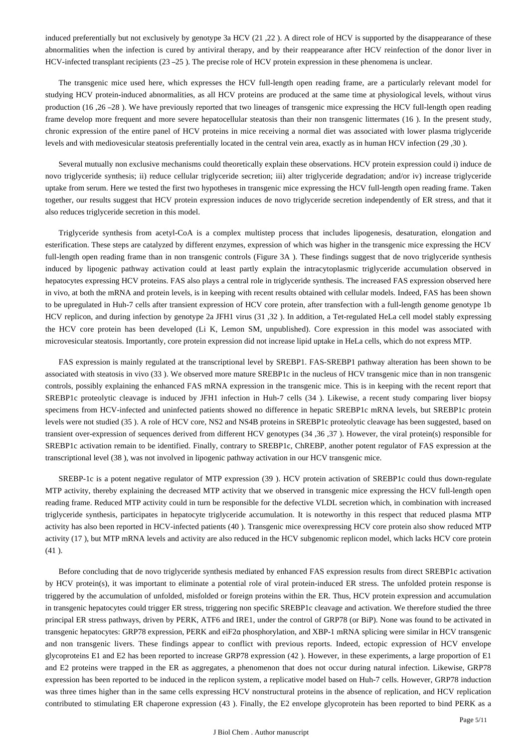induced preferentially but not exclusively by genotype 3a HCV (21 ,22 ). A direct role of HCV is supported by the disappearance of these abnormalities when the infection is cured by antiviral therapy, and by their reappearance after HCV reinfection of the donor liver in HCV-infected transplant recipients (23 –25 ). The precise role of HCV protein expression in these phenomena is unclear.

The transgenic mice used here, which expresses the HCV full-length open reading frame, are a particularly relevant model for studying HCV protein-induced abnormalities, as all HCV proteins are produced at the same time at physiological levels, without virus production (16 ,26 –28 ). We have previously reported that two lineages of transgenic mice expressing the HCV full-length open reading frame develop more frequent and more severe hepatocellular steatosis than their non transgenic littermates (16 ). In the present study, chronic expression of the entire panel of HCV proteins in mice receiving a normal diet was associated with lower plasma triglyceride levels and with mediovesicular steatosis preferentially located in the central vein area, exactly as in human HCV infection (29 ,30 ).

Several mutually non exclusive mechanisms could theoretically explain these observations. HCV protein expression could i) induce de novo triglyceride synthesis; ii) reduce cellular triglyceride secretion; iii) alter triglyceride degradation; and/or iv) increase triglyceride uptake from serum. Here we tested the first two hypotheses in transgenic mice expressing the HCV full-length open reading frame. Taken together, our results suggest that HCV protein expression induces de novo triglyceride secretion independently of ER stress, and that it also reduces triglyceride secretion in this model.

Triglyceride synthesis from acetyl-CoA is a complex multistep process that includes lipogenesis, desaturation, elongation and esterification. These steps are catalyzed by different enzymes, expression of which was higher in the transgenic mice expressing the HCV full-length open reading frame than in non transgenic controls (Figure 3A). These findings suggest that de novo triglyceride synthesis induced by lipogenic pathway activation could at least partly explain the intracytoplasmic triglyceride accumulation observed in hepatocytes expressing HCV proteins. FAS also plays a central role in triglyceride synthesis. The increased FAS expression observed here in vivo, at both the mRNA and protein levels, is in keeping with recent results obtained with cellular models. Indeed, FAS has been shown to be upregulated in Huh-7 cells after transient expression of HCV core protein, after transfection with a full-length genome genotype 1b HCV replicon, and during infection by genotype 2a JFH1 virus (31 ,32 ). In addition, a Tet-regulated HeLa cell model stably expressing the HCV core protein has been developed (Li K, Lemon SM, unpublished). Core expression in this model was associated with microvesicular steatosis. Importantly, core protein expression did not increase lipid uptake in HeLa cells, which do not express MTP.

FAS expression is mainly regulated at the transcriptional level by SREBP1. FAS-SREBP1 pathway alteration has been shown to be associated with steatosis in vivo (33 ). We observed more mature SREBP1c in the nucleus of HCV transgenic mice than in non transgenic controls, possibly explaining the enhanced FAS mRNA expression in the transgenic mice. This is in keeping with the recent report that SREBP1c proteolytic cleavage is induced by JFH1 infection in Huh-7 cells (34 ). Likewise, a recent study comparing liver biopsy specimens from HCV-infected and uninfected patients showed no difference in hepatic SREBP1c mRNA levels, but SREBP1c protein levels were not studied (35 ). A role of HCV core, NS2 and NS4B proteins in SREBP1c proteolytic cleavage has been suggested, based on transient over-expression of sequences derived from different HCV genotypes (34 ,36 ,37 ). However, the viral protein(s) responsible for SREBP1c activation remain to be identified. Finally, contrary to SREBP1c, ChREBP, another potent regulator of FAS expression at the transcriptional level (38 ), was not involved in lipogenic pathway activation in our HCV transgenic mice.

SREBP-1c is a potent negative regulator of MTP expression (39 ). HCV protein activation of SREBP1c could thus down-regulate MTP activity, thereby explaining the decreased MTP activity that we observed in transgenic mice expressing the HCV full-length open reading frame. Reduced MTP activity could in turn be responsible for the defective VLDL secretion which, in combination with increased triglyceride synthesis, participates in hepatocyte triglyceride accumulation. It is noteworthy in this respect that reduced plasma MTP activity has also been reported in HCV-infected patients (40 ). Transgenic mice overexpressing HCV core protein also show reduced MTP activity (17 ), but MTP mRNA levels and activity are also reduced in the HCV subgenomic replicon model, which lacks HCV core protein (41 ).

Before concluding that de novo triglyceride synthesis mediated by enhanced FAS expression results from direct SREBP1c activation by HCV protein(s), it was important to eliminate a potential role of viral protein-induced ER stress. The unfolded protein response is triggered by the accumulation of unfolded, misfolded or foreign proteins within the ER. Thus, HCV protein expression and accumulation in transgenic hepatocytes could trigger ER stress, triggering non specific SREBP1c cleavage and activation. We therefore studied the three principal ER stress pathways, driven by PERK, ATF6 and IRE1, under the control of GRP78 (or BiP). None was found to be activated in transgenic hepatocytes: GRP78 expression, PERK and eiF2α phosphorylation, and XBP-1 mRNA splicing were similar in HCV transgenic and non transgenic livers. These findings appear to conflict with previous reports. Indeed, ectopic expression of HCV envelope glycoproteins E1 and E2 has been reported to increase GRP78 expression (42 ). However, in these experiments, a large proportion of E1 and E2 proteins were trapped in the ER as aggregates, a phenomenon that does not occur during natural infection. Likewise, GRP78 expression has been reported to be induced in the replicon system, a replicative model based on Huh-7 cells. However, GRP78 induction was three times higher than in the same cells expressing HCV nonstructural proteins in the absence of replication, and HCV replication contributed to stimulating ER chaperone expression (43 ). Finally, the E2 envelope glycoprotein has been reported to bind PERK as a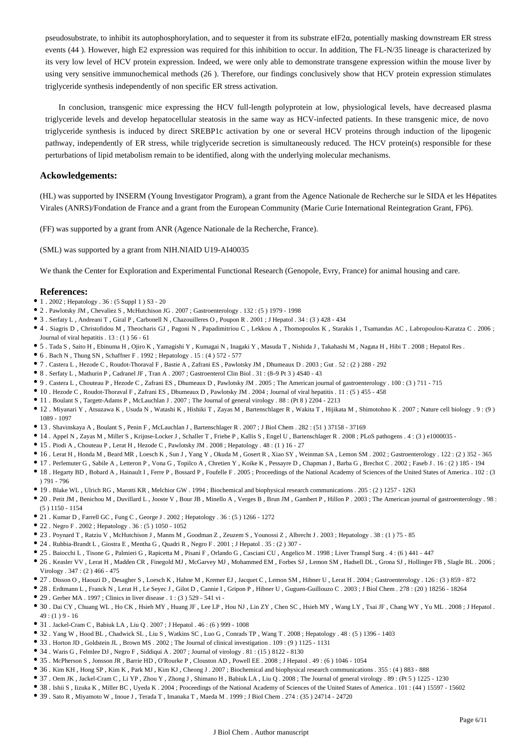pseudosubstrate, to inhibit its autophosphorylation, and to sequester it from its substrate eIF2α, potentially masking downstream ER stress events (44 ). However, high E2 expression was required for this inhibition to occur. In addition, The FL-N/35 lineage is characterized by its very low level of HCV protein expression. Indeed, we were only able to demonstrate transgene expression within the mouse liver by using very sensitive immunochemical methods (26 ). Therefore, our findings conclusively show that HCV protein expression stimulates triglyceride synthesis independently of non specific ER stress activation.

In conclusion, transgenic mice expressing the HCV full-length polyprotein at low, physiological levels, have decreased plasma triglyceride levels and develop hepatocellular steatosis in the same way as HCV-infected patients. In these transgenic mice, de novo triglyceride synthesis is induced by direct SREBP1c activation by one or several HCV proteins through induction of the lipogenic pathway, independently of ER stress, while triglyceride secretion is simultaneously reduced. The HCV protein(s) responsible for these perturbations of lipid metabolism remain to be identified, along with the underlying molecular mechanisms.

### **Ackowledgements:**

(HL) was supported by INSERM (Young Investigator Program), a grant from the Agence Nationale de Recherche sur le SIDA et les Hépatites Virales (ANRS)/Fondation de France and a grant from the European Community (Marie Curie International Reintegration Grant, FP6).

(FF) was supported by a grant from ANR (Agence Nationale de la Recherche, France).

(SML) was supported by a grant from NIH.NIAID U19-AI40035

We thank the Center for Exploration and Experimental Functional Research (Genopole, Evry, France) for animal housing and care.

#### **References:**

- $\bullet$  1. 2002; Hepatology . 36: (5 Suppl 1) S3 20
- 2 . Pawlotsky JM , Chevaliez S , McHutchison JG . 2007 ; Gastroenterology . 132 : (5 ) 1979 1998
- 3 . Serfaty L , Andreani T , Giral P , Carbonell N , Chazouilleres O , Poupon R . 2001 ; J Hepatol . 34 : (3 ) 428 434
- 4 . Siagris D , Christofidou M , Theocharis GJ , Pagoni N , Papadimitriou C , Lekkou A , Thomopoulos K , Starakis I , Tsamandas AC , Labropoulou-Karatza C . 2006 ; Journal of viral hepatitis  $. 13 : (1)$  56 - 61
- 5 . Tada S , Saito H , Ebinuma H , Ojiro K , Yamagishi Y , Kumagai N , Inagaki Y , Masuda T , Nishida J , Takahashi M , Nagata H , Hibi T . 2008 ; Hepatol Res .
- $\bullet$  6. Bach N, Thung SN, Schaffner F. 1992; Hepatology . 15: (4) 572 577
- 7 . Castera L , Hezode C , Roudot-Thoraval F , Bastie A , Zafrani ES , Pawlotsky JM , Dhumeaux D . 2003 ; Gut . 52 : (2 ) 288 292
- 8 . Serfaty L , Mathurin P , Cadranel JF , Tran A . 2007 ; Gastroenterol Clin Biol . 31 : (8–9 Pt 3 ) 4S40 43
- 9 . Castera L , Chouteau P , Hezode C , Zafrani ES , Dhumeaux D , Pawlotsky JM . 2005 ; The American journal of gastroenterology . 100 : (3 ) 711 715
- 10 . Hezode C , Roudot-Thoraval F , Zafrani ES , Dhumeaux D , Pawlotsky JM . 2004 ; Journal of viral hepatitis . 11 : (5 ) 455 458
- 11 . Boulant S , Targett-Adams P , McLauchlan J . 2007 ; The Journal of general virology . 88 : (Pt 8 ) 2204 2213
- 12 . Miyanari Y , Atsuzawa K , Usuda N , Watashi K , Hishiki T , Zayas M , Bartenschlager R , Wakita T , Hijikata M , Shimotohno K . 2007 ; Nature cell biology . 9 : (9 ) 1089 - 1097
- 13 . Shavinskaya A , Boulant S , Penin F , McLauchlan J , Bartenschlager R . 2007 ; J Biol Chem . 282 : (51 ) 37158 37169
- 14 . Appel N , Zayas M , Miller S , Krijnse-Locker J , Schaller T , Friebe P , Kallis S , Engel U , Bartenschlager R . 2008 ; PLoS pathogens . 4 : (3 ) e1000035 -
- 15 . Piodi A , Chouteau P , Lerat H , Hezode C , Pawlotsky JM . 2008 ; Hepatology . 48 : (1 ) 16 27
- 16 . Lerat H , Honda M , Beard MR , Loesch K , Sun J , Yang Y , Okuda M , Gosert R , Xiao SY , Weinman SA , Lemon SM . 2002 ; Gastroenterology . 122 : (2 ) 352 365
- 17 . Perlemuter G , Sabile A , Letteron P , Vona G , Topilco A , Chretien Y , Koike K , Pessayre D , Chapman J , Barba G , Brechot C . 2002 ; Faseb J . 16 : (2 ) 185 194
- 18 . Hegarty BD , Bobard A , Hainault I , Ferre P , Bossard P , Foufelle F . 2005 ; Proceedings of the National Academy of Sciences of the United States of America . 102 : (3 ) 791 - 796
- 19 . Blake WL , Ulrich RG , Marotti KR , Melchior GW . 1994 ; Biochemical and biophysical research communications . 205 : (2 ) 1257 1263
- 20 . Petit JM , Benichou M , Duvillard L , Jooste V , Bour JB , Minello A , Verges B , Brun JM , Gambert P , Hillon P . 2003 ; The American journal of gastroenterology . 98 : (5 ) 1150 - 1154
- $\bullet$  21 . Kumar D , Farrell GC , Fung C , George J . 2002 ; Hepatology . 36 : (5 ) 1266 1272
- 22 . Negro F . 2002 ; Hepatology . 36 : (5 ) 1050 1052
- 23 . Poynard T , Ratziu V , McHutchison J , Manns M , Goodman Z , Zeuzem S , Younossi Z , Albrecht J . 2003 ; Hepatology . 38 : (1 ) 75 85
- 24 . Rubbia-Brandt L , Giostra E , Mentha G , Quadri R , Negro F . 2001 ; J Hepatol . 35 : (2 ) 307 -
- 25 . Baiocchi L , Tisone G , Palmieri G , Rapicetta M , Pisani F , Orlando G , Casciani CU , Angelico M . 1998 ; Liver Transpl Surg . 4 : (6 ) 441 447
- 26 . Keasler VV , Lerat H , Madden CR , Finegold MJ , McGarvey MJ , Mohammed EM , Forbes SJ , Lemon SM , Hadsell DL , Grona SJ , Hollinger FB , Slagle BL . 2006 ; Virology . 347 : (2 ) 466 - 475
- 27 . Disson O , Haouzi D , Desagher S , Loesch K , Hahne M , Kremer EJ , Jacquet C , Lemon SM , Hibner U , Lerat H . 2004 ; Gastroenterology . 126 : (3 ) 859 872
- 28 . Erdtmann L , Franck N , Lerat H , Le Seyec J , Gilot D , Cannie I , Gripon P , Hibner U , Guguen-Guillouzo C . 2003 ; J Biol Chem . 278 : (20 ) 18256 18264
- 29 . Gerber MA . 1997 ; Clinics in liver disease . 1 : (3 ) 529 541 vi -
- 30 . Dai CY , Chuang WL , Ho CK , Hsieh MY , Huang JF , Lee LP , Hou NJ , Lin ZY , Chen SC , Hsieh MY , Wang LY , Tsai JF , Chang WY , Yu ML . 2008 ; J Hepatol .  $49: (1) 9 - 16$
- $\bullet$  31 . Jackel-Cram C , Babiuk LA , Liu Q . 2007 ; J Hepatol . 46 : (6 ) 999 1008
- 32 . Yang W , Hood BL , Chadwick SL , Liu S , Watkins SC , Luo G , Conrads TP , Wang T . 2008 ; Hepatology . 48 : (5 ) 1396 1403
- 33 . Horton JD , Goldstein JL , Brown MS . 2002 ; The Journal of clinical investigation . 109 : (9 ) 1125 1131
- 34 . Waris G , Felmlee DJ , Negro F , Siddiqui A . 2007 ; Journal of virology . 81 : (15 ) 8122 8130
- 35 . McPherson S , Jonsson JR , Barrie HD , O'Rourke P , Clouston AD , Powell EE . 2008 ; J Hepatol . 49 : (6 ) 1046 1054
- 36 . Kim KH , Hong SP , Kim K , Park MJ , Kim KJ , Cheong J . 2007 ; Biochemical and biophysical research communications . 355 : (4 ) 883 888
- 37 . Oem JK , Jackel-Cram C , Li YP , Zhou Y , Zhong J , Shimano H , Babiuk LA , Liu Q . 2008 ; The Journal of general virology . 89 : (Pt 5 ) 1225 1230
- <sup>•</sup> 38 . Ishii S, Iizuka K, Miller BC, Uyeda K . 2004; Proceedings of the National Academy of Sciences of the United States of America . 101 : (44) 15597 15602
- 39 . Sato R , Miyamoto W , Inoue J , Terada T , Imanaka T , Maeda M . 1999 ; J Biol Chem . 274 : (35 ) 24714 24720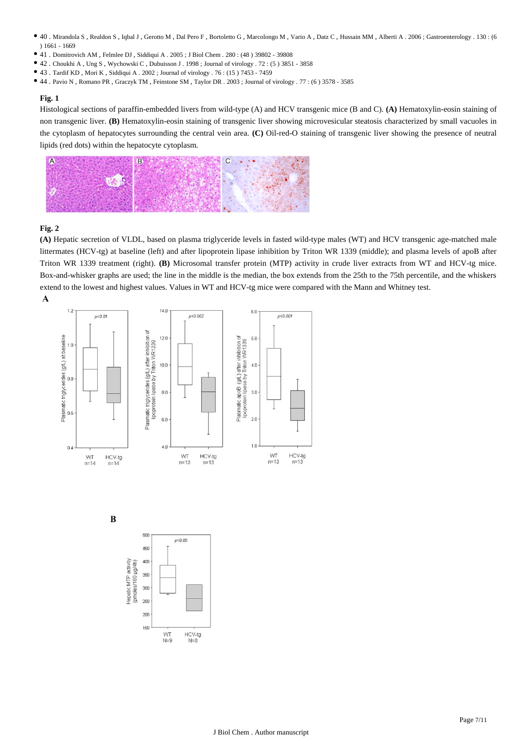- 40 . Mirandola S , Realdon S , Iqbal J , Gerotto M , Dal Pero F , Bortoletto G , Marcolongo M , Vario A , Datz C , Hussain MM , Alberti A . 2006 ; Gastroenterology . 130 : (6 ) 1661 - 1669
- 41 . Domitrovich AM , Felmlee DJ , Siddiqui A . 2005 ; J Biol Chem . 280 : (48 ) 39802 39808
- $\bullet$  42 . Choukhi A , Ung S , Wychowski C , Dubuisson J . 1998 ; Journal of virology . 72 : (5) 3851 3858
- 43 . Tardif KD , Mori K , Siddiqui A . 2002 ; Journal of virology . 76 : (15 ) 7453 7459
- 44 . Pavio N , Romano PR , Graczyk TM , Feinstone SM , Taylor DR . 2003 ; Journal of virology . 77 : (6 ) 3578 3585

Histological sections of paraffin-embedded livers from wild-type (A) and HCV transgenic mice (B and C). **(A)** Hematoxylin-eosin staining of non transgenic liver. **(B)** Hematoxylin-eosin staining of transgenic liver showing microvesicular steatosis characterized by small vacuoles in the cytoplasm of hepatocytes surrounding the central vein area. **(C)** Oil-red-O staining of transgenic liver showing the presence of neutral lipids (red dots) within the hepatocyte cytoplasm.



# **Fig. 2**

**(A)** Hepatic secretion of VLDL, based on plasma triglyceride levels in fasted wild-type males (WT) and HCV transgenic age-matched male littermates (HCV-tg) at baseline (left) and after lipoprotein lipase inhibition by Triton WR 1339 (middle); and plasma levels of apoB after Triton WR 1339 treatment (right). **(B)** Microsomal transfer protein (MTP) activity in crude liver extracts from WT and HCV-tg mice. Box-and-whisker graphs are used; the line in the middle is the median, the box extends from the 25th to the 75th percentile, and the whiskers extend to the lowest and highest values. Values in WT and HCV-tg mice were compared with the Mann and Whitney test.A





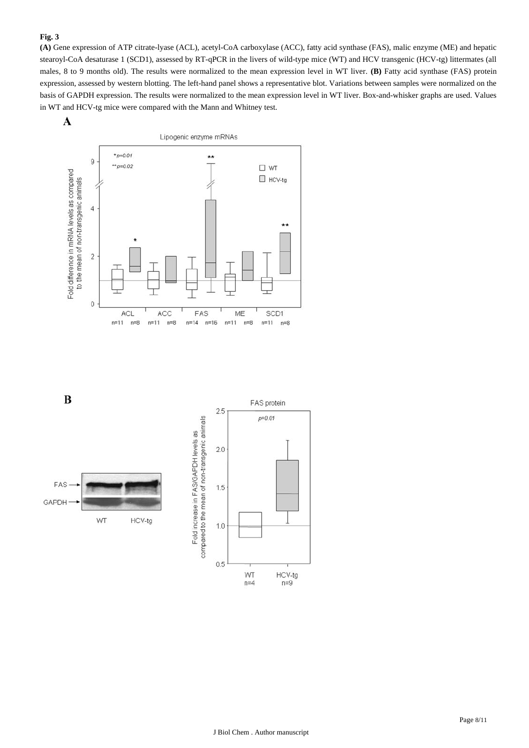**(A)** Gene expression of ATP citrate-lyase (ACL), acetyl-CoA carboxylase (ACC), fatty acid synthase (FAS), malic enzyme (ME) and hepatic stearoyl-CoA desaturase 1 (SCD1), assessed by RT-qPCR in the livers of wild-type mice (WT) and HCV transgenic (HCV-tg) littermates (all males, 8 to 9 months old). The results were normalized to the mean expression level in WT liver. **(B)** Fatty acid synthase (FAS) protein expression, assessed by western blotting. The left-hand panel shows a representative blot. Variations between samples were normalized on the basis of GAPDH expression. The results were normalized to the mean expression level in WT liver. Box-and-whisker graphs are used. Values in WT and HCV-tg mice were compared with the Mann and Whitney test.

A



 $\bf{B}$ 

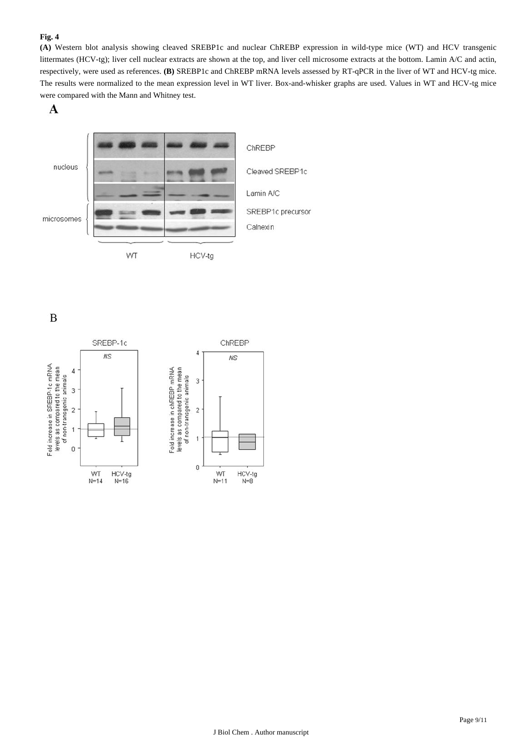**(A)** Western blot analysis showing cleaved SREBP1c and nuclear ChREBP expression in wild-type mice (WT) and HCV transgenic littermates (HCV-tg); liver cell nuclear extracts are shown at the top, and liver cell microsome extracts at the bottom. Lamin A/C and actin, respectively, were used as references. **(B)** SREBP1c and ChREBP mRNA levels assessed by RT-qPCR in the liver of WT and HCV-tg mice. The results were normalized to the mean expression level in WT liver. Box-and-whisker graphs are used. Values in WT and HCV-tg mice were compared with the Mann and Whitney test.

A



 $\mathbf B$ 

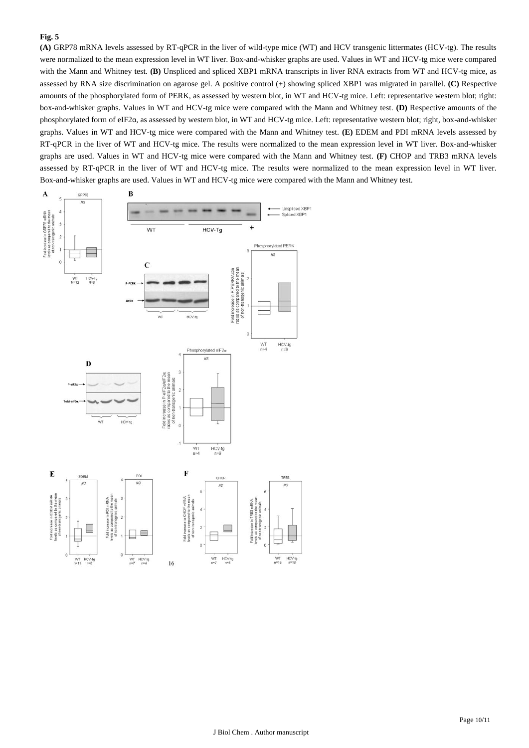**(A)** GRP78 mRNA levels assessed by RT-qPCR in the liver of wild-type mice (WT) and HCV transgenic littermates (HCV-tg). The results were normalized to the mean expression level in WT liver. Box-and-whisker graphs are used. Values in WT and HCV-tg mice were compared with the Mann and Whitney test. **(B)** Unspliced and spliced XBP1 mRNA transcripts in liver RNA extracts from WT and HCV-tg mice, as assessed by RNA size discrimination on agarose gel. A positive control (+) showing spliced XBP1 was migrated in parallel. **(C)** Respective amounts of the phosphorylated form of PERK, as assessed by western blot, in WT and HCV-tg mice. Left: representative western blot; right: box-and-whisker graphs. Values in WT and HCV-tg mice were compared with the Mann and Whitney test. **(D)** Respective amounts of the phosphorylated form of eIF2α, as assessed by western blot, in WT and HCV-tg mice. Left: representative western blot; right, box-and-whisker graphs. Values in WT and HCV-tg mice were compared with the Mann and Whitney test. **(E)** EDEM and PDI mRNA levels assessed by RT-qPCR in the liver of WT and HCV-tg mice. The results were normalized to the mean expression level in WT liver. Box-and-whisker graphs are used. Values in WT and HCV-tg mice were compared with the Mann and Whitney test. **(F)** CHOP and TRB3 mRNA levels assessed by RT-qPCR in the liver of WT and HCV-tg mice. The results were normalized to the mean expression level in WT liver. Box-and-whisker graphs are used. Values in WT and HCV-tg mice were compared with the Mann and Whitney test.